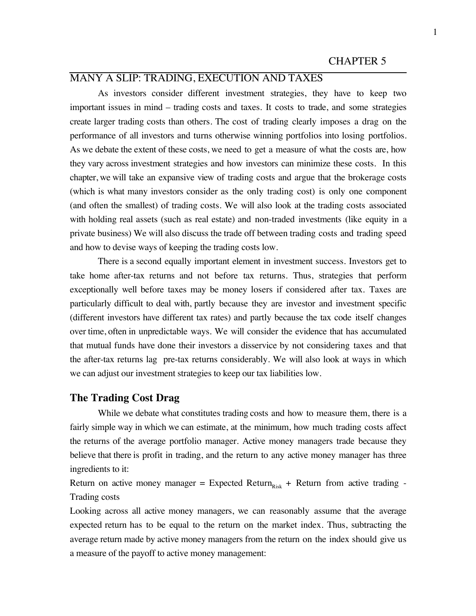# MANY A SLIP: TRADING, EXECUTION AND TAXES

As investors consider different investment strategies, they have to keep two important issues in mind – trading costs and taxes. It costs to trade, and some strategies create larger trading costs than others. The cost of trading clearly imposes a drag on the performance of all investors and turns otherwise winning portfolios into losing portfolios. As we debate the extent of these costs, we need to get a measure of what the costs are, how they vary across investment strategies and how investors can minimize these costs. In this chapter, we will take an expansive view of trading costs and argue that the brokerage costs (which is what many investors consider as the only trading cost) is only one component (and often the smallest) of trading costs. We will also look at the trading costs associated with holding real assets (such as real estate) and non-traded investments (like equity in a private business) We will also discuss the trade off between trading costs and trading speed and how to devise ways of keeping the trading costs low.

There is a second equally important element in investment success. Investors get to take home after-tax returns and not before tax returns. Thus, strategies that perform exceptionally well before taxes may be money losers if considered after tax. Taxes are particularly difficult to deal with, partly because they are investor and investment specific (different investors have different tax rates) and partly because the tax code itself changes over time, often in unpredictable ways. We will consider the evidence that has accumulated that mutual funds have done their investors a disservice by not considering taxes and that the after-tax returns lag pre-tax returns considerably. We will also look at ways in which we can adjust our investment strategies to keep our tax liabilities low.

## **The Trading Cost Drag**

While we debate what constitutes trading costs and how to measure them, there is a fairly simple way in which we can estimate, at the minimum, how much trading costs affect the returns of the average portfolio manager. Active money managers trade because they believe that there is profit in trading, and the return to any active money manager has three ingredients to it:

Return on active money manager = Expected Return<sub>Risk</sub> + Return from active trading -Trading costs

Looking across all active money managers, we can reasonably assume that the average expected return has to be equal to the return on the market index. Thus, subtracting the average return made by active money managers from the return on the index should give us a measure of the payoff to active money management: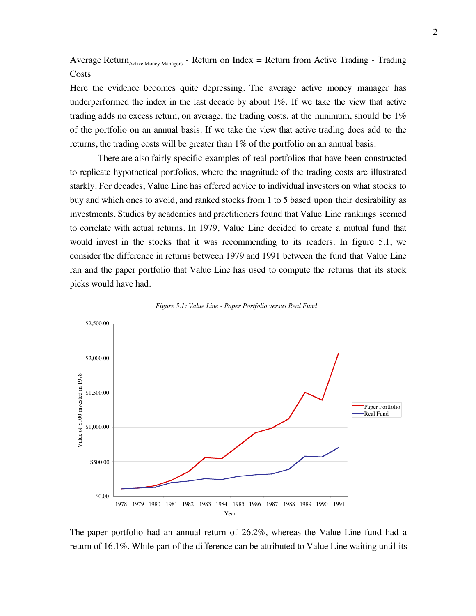Average Return<sub>Active Money Managers</sub> - Return on Index = Return from Active Trading - Trading **Costs** 

Here the evidence becomes quite depressing. The average active money manager has underperformed the index in the last decade by about 1%. If we take the view that active trading adds no excess return, on average, the trading costs, at the minimum, should be  $1\%$ of the portfolio on an annual basis. If we take the view that active trading does add to the returns, the trading costs will be greater than 1% of the portfolio on an annual basis.

There are also fairly specific examples of real portfolios that have been constructed to replicate hypothetical portfolios, where the magnitude of the trading costs are illustrated starkly. For decades, Value Line has offered advice to individual investors on what stocks to buy and which ones to avoid, and ranked stocks from 1 to 5 based upon their desirability as investments. Studies by academics and practitioners found that Value Line rankings seemed to correlate with actual returns. In 1979, Value Line decided to create a mutual fund that would invest in the stocks that it was recommending to its readers. In figure 5.1, we consider the difference in returns between 1979 and 1991 between the fund that Value Line ran and the paper portfolio that Value Line has used to compute the returns that its stock picks would have had.





The paper portfolio had an annual return of 26.2%, whereas the Value Line fund had a return of 16.1%. While part of the difference can be attributed to Value Line waiting until its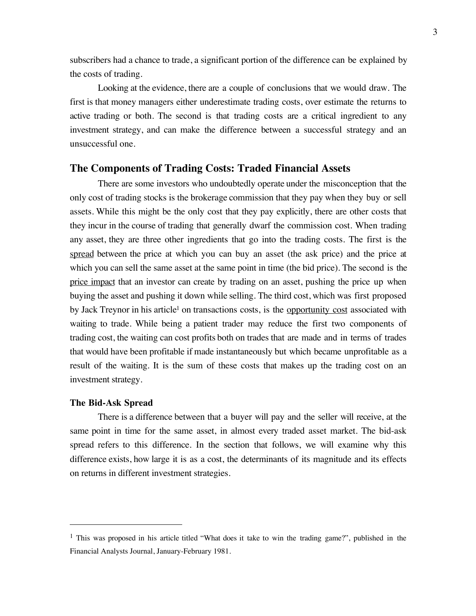subscribers had a chance to trade, a significant portion of the difference can be explained by the costs of trading.

Looking at the evidence, there are a couple of conclusions that we would draw. The first is that money managers either underestimate trading costs, over estimate the returns to active trading or both. The second is that trading costs are a critical ingredient to any investment strategy, and can make the difference between a successful strategy and an unsuccessful one.

## **The Components of Trading Costs: Traded Financial Assets**

There are some investors who undoubtedly operate under the misconception that the only cost of trading stocks is the brokerage commission that they pay when they buy or sell assets. While this might be the only cost that they pay explicitly, there are other costs that they incur in the course of trading that generally dwarf the commission cost. When trading any asset, they are three other ingredients that go into the trading costs. The first is the spread between the price at which you can buy an asset (the ask price) and the price at which you can sell the same asset at the same point in time (the bid price). The second is the price impact that an investor can create by trading on an asset, pushing the price up when buying the asset and pushing it down while selling. The third cost, which was first proposed by Jack Treynor in his article<sup>1</sup> on transactions costs, is the <u>opportunity cost</u> associated with waiting to trade. While being a patient trader may reduce the first two components of trading cost, the waiting can cost profits both on trades that are made and in terms of trades that would have been profitable if made instantaneously but which became unprofitable as a result of the waiting. It is the sum of these costs that makes up the trading cost on an investment strategy.

#### **The Bid-Ask Spread**

 $\overline{a}$ 

There is a difference between that a buyer will pay and the seller will receive, at the same point in time for the same asset, in almost every traded asset market. The bid-ask spread refers to this difference. In the section that follows, we will examine why this difference exists, how large it is as a cost, the determinants of its magnitude and its effects on returns in different investment strategies.

<sup>&</sup>lt;sup>1</sup> This was proposed in his article titled "What does it take to win the trading game?", published in the Financial Analysts Journal, January-February 1981.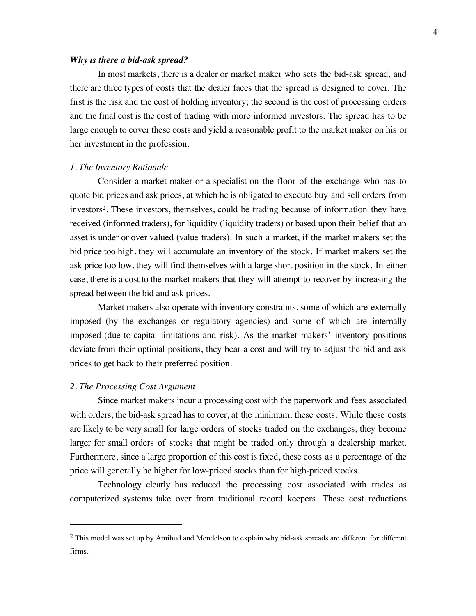### *Why is there a bid-ask spread?*

In most markets, there is a dealer or market maker who sets the bid-ask spread, and there are three types of costs that the dealer faces that the spread is designed to cover. The first is the risk and the cost of holding inventory; the second is the cost of processing orders and the final cost is the cost of trading with more informed investors. The spread has to be large enough to cover these costs and yield a reasonable profit to the market maker on his or her investment in the profession.

#### *1. The Inventory Rationale*

Consider a market maker or a specialist on the floor of the exchange who has to quote bid prices and ask prices, at which he is obligated to execute buy and sell orders from investors2. These investors, themselves, could be trading because of information they have received (informed traders), for liquidity (liquidity traders) or based upon their belief that an asset is under or over valued (value traders). In such a market, if the market makers set the bid price too high, they will accumulate an inventory of the stock. If market makers set the ask price too low, they will find themselves with a large short position in the stock. In either case, there is a cost to the market makers that they will attempt to recover by increasing the spread between the bid and ask prices.

Market makers also operate with inventory constraints, some of which are externally imposed (by the exchanges or regulatory agencies) and some of which are internally imposed (due to capital limitations and risk). As the market makers' inventory positions deviate from their optimal positions, they bear a cost and will try to adjust the bid and ask prices to get back to their preferred position.

#### *2. The Processing Cost Argument*

 $\overline{a}$ 

Since market makers incur a processing cost with the paperwork and fees associated with orders, the bid-ask spread has to cover, at the minimum, these costs. While these costs are likely to be very small for large orders of stocks traded on the exchanges, they become larger for small orders of stocks that might be traded only through a dealership market. Furthermore, since a large proportion of this cost is fixed, these costs as a percentage of the price will generally be higher for low-priced stocks than for high-priced stocks.

Technology clearly has reduced the processing cost associated with trades as computerized systems take over from traditional record keepers. These cost reductions

<sup>&</sup>lt;sup>2</sup> This model was set up by Amihud and Mendelson to explain why bid-ask spreads are different for different firms.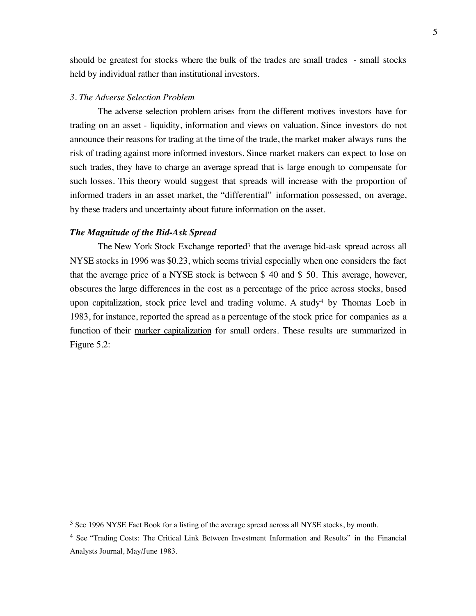should be greatest for stocks where the bulk of the trades are small trades - small stocks held by individual rather than institutional investors.

#### *3. The Adverse Selection Problem*

The adverse selection problem arises from the different motives investors have for trading on an asset - liquidity, information and views on valuation. Since investors do not announce their reasons for trading at the time of the trade, the market maker always runs the risk of trading against more informed investors. Since market makers can expect to lose on such trades, they have to charge an average spread that is large enough to compensate for such losses. This theory would suggest that spreads will increase with the proportion of informed traders in an asset market, the "differential" information possessed, on average, by these traders and uncertainty about future information on the asset.

## *The Magnitude of the Bid-Ask Spread*

 $\overline{a}$ 

The New York Stock Exchange reported<sup>3</sup> that the average bid-ask spread across all NYSE stocks in 1996 was \$0.23, which seems trivial especially when one considers the fact that the average price of a NYSE stock is between \$ 40 and \$ 50. This average, however, obscures the large differences in the cost as a percentage of the price across stocks, based upon capitalization, stock price level and trading volume. A study  $4$  by Thomas Loeb in 1983, for instance, reported the spread as a percentage of the stock price for companies as a function of their marker capitalization for small orders. These results are summarized in Figure 5.2:

<sup>&</sup>lt;sup>3</sup> See 1996 NYSE Fact Book for a listing of the average spread across all NYSE stocks, by month.

<sup>4</sup> See "Trading Costs: The Critical Link Between Investment Information and Results" in the Financial Analysts Journal, May/June 1983.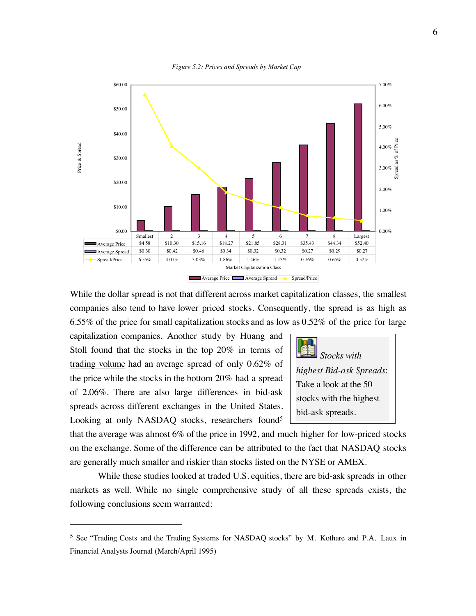



While the dollar spread is not that different across market capitalization classes, the smallest companies also tend to have lower priced stocks. Consequently, the spread is as high as 6.55% of the price for small capitalization stocks and as low as 0.52% of the price for large

capitalization companies. Another study by Huang and Stoll found that the stocks in the top 20% in terms of trading volume had an average spread of only 0.62% of the price while the stocks in the bottom 20% had a spread of 2.06%. There are also large differences in bid-ask spreads across different exchanges in the United States. Looking at only NASDAQ stocks, researchers found<sup>5</sup>

 $\overline{a}$ 



that the average was almost 6% of the price in 1992, and much higher for low-priced stocks on the exchange. Some of the difference can be attributed to the fact that NASDAQ stocks are generally much smaller and riskier than stocks listed on the NYSE or AMEX.

While these studies looked at traded U.S. equities, there are bid-ask spreads in other markets as well. While no single comprehensive study of all these spreads exists, the following conclusions seem warranted:

<sup>&</sup>lt;sup>5</sup> See "Trading Costs and the Trading Systems for NASDAQ stocks" by M. Kothare and P.A. Laux in Financial Analysts Journal (March/April 1995)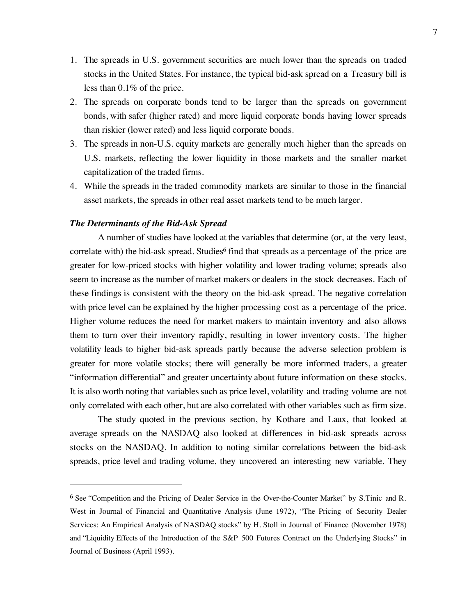- 1. The spreads in U.S. government securities are much lower than the spreads on traded stocks in the United States. For instance, the typical bid-ask spread on a Treasury bill is less than 0.1% of the price.
- 2. The spreads on corporate bonds tend to be larger than the spreads on government bonds, with safer (higher rated) and more liquid corporate bonds having lower spreads than riskier (lower rated) and less liquid corporate bonds.
- 3. The spreads in non-U.S. equity markets are generally much higher than the spreads on U.S. markets, reflecting the lower liquidity in those markets and the smaller market capitalization of the traded firms.
- 4. While the spreads in the traded commodity markets are similar to those in the financial asset markets, the spreads in other real asset markets tend to be much larger.

### *The Determinants of the Bid-Ask Spread*

 $\overline{a}$ 

A number of studies have looked at the variables that determine (or, at the very least, correlate with) the bid-ask spread. Studies<sup>6</sup> find that spreads as a percentage of the price are greater for low-priced stocks with higher volatility and lower trading volume; spreads also seem to increase as the number of market makers or dealers in the stock decreases. Each of these findings is consistent with the theory on the bid-ask spread. The negative correlation with price level can be explained by the higher processing cost as a percentage of the price. Higher volume reduces the need for market makers to maintain inventory and also allows them to turn over their inventory rapidly, resulting in lower inventory costs. The higher volatility leads to higher bid-ask spreads partly because the adverse selection problem is greater for more volatile stocks; there will generally be more informed traders, a greater "information differential" and greater uncertainty about future information on these stocks. It is also worth noting that variables such as price level, volatility and trading volume are not only correlated with each other, but are also correlated with other variables such as firm size.

The study quoted in the previous section, by Kothare and Laux, that looked at average spreads on the NASDAQ also looked at differences in bid-ask spreads across stocks on the NASDAQ. In addition to noting similar correlations between the bid-ask spreads, price level and trading volume, they uncovered an interesting new variable. They

<sup>6</sup> See "Competition and the Pricing of Dealer Service in the Over-the-Counter Market" by S.Tinic and R. West in Journal of Financial and Quantitative Analysis (June 1972), "The Pricing of Security Dealer Services: An Empirical Analysis of NASDAQ stocks" by H. Stoll in Journal of Finance (November 1978) and "Liquidity Effects of the Introduction of the S&P 500 Futures Contract on the Underlying Stocks" in Journal of Business (April 1993).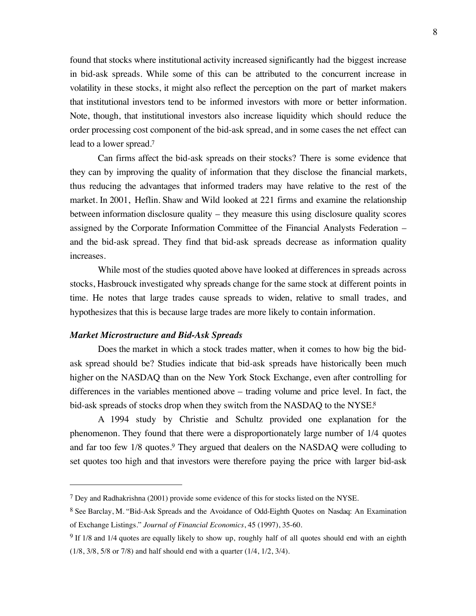found that stocks where institutional activity increased significantly had the biggest increase in bid-ask spreads. While some of this can be attributed to the concurrent increase in volatility in these stocks, it might also reflect the perception on the part of market makers that institutional investors tend to be informed investors with more or better information. Note, though, that institutional investors also increase liquidity which should reduce the order processing cost component of the bid-ask spread, and in some cases the net effect can lead to a lower spread.7

Can firms affect the bid-ask spreads on their stocks? There is some evidence that they can by improving the quality of information that they disclose the financial markets, thus reducing the advantages that informed traders may have relative to the rest of the market. In 2001, Heflin. Shaw and Wild looked at 221 firms and examine the relationship between information disclosure quality – they measure this using disclosure quality scores assigned by the Corporate Information Committee of the Financial Analysts Federation – and the bid-ask spread. They find that bid-ask spreads decrease as information quality increases.

While most of the studies quoted above have looked at differences in spreads across stocks, Hasbrouck investigated why spreads change for the same stock at different points in time. He notes that large trades cause spreads to widen, relative to small trades, and hypothesizes that this is because large trades are more likely to contain information.

## *Market Microstructure and Bid-Ask Spreads*

 $\overline{a}$ 

Does the market in which a stock trades matter, when it comes to how big the bidask spread should be? Studies indicate that bid-ask spreads have historically been much higher on the NASDAQ than on the New York Stock Exchange, even after controlling for differences in the variables mentioned above – trading volume and price level. In fact, the bid-ask spreads of stocks drop when they switch from the NASDAQ to the NYSE.<sup>8</sup>

A 1994 study by Christie and Schultz provided one explanation for the phenomenon. They found that there were a disproportionately large number of 1/4 quotes and far too few 1/8 quotes.<sup>9</sup> They argued that dealers on the NASDAQ were colluding to set quotes too high and that investors were therefore paying the price with larger bid-ask

 $7$  Dey and Radhakrishna (2001) provide some evidence of this for stocks listed on the NYSE.

<sup>8</sup> See Barclay, M. "Bid-Ask Spreads and the Avoidance of Odd-Eighth Quotes on Nasdaq: An Examination of Exchange Listings." *Journal of Financial Economics*, 45 (1997), 35-60.

<sup>&</sup>lt;sup>9</sup> If 1/8 and 1/4 quotes are equally likely to show up, roughly half of all quotes should end with an eighth (1/8, 3/8, 5/8 or 7/8) and half should end with a quarter (1/4, 1/2, 3/4).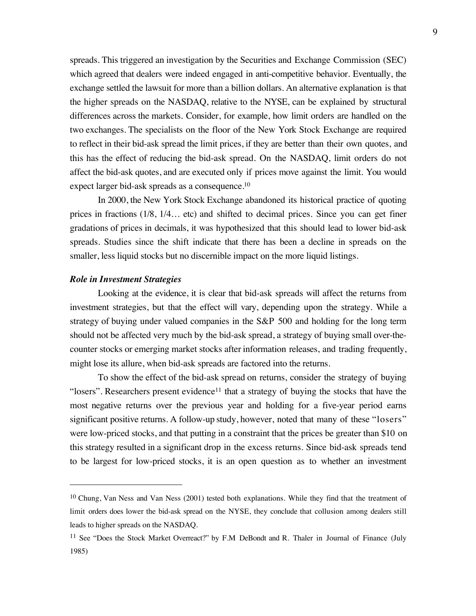spreads. This triggered an investigation by the Securities and Exchange Commission (SEC) which agreed that dealers were indeed engaged in anti-competitive behavior. Eventually, the exchange settled the lawsuit for more than a billion dollars. An alternative explanation is that the higher spreads on the NASDAQ, relative to the NYSE, can be explained by structural differences across the markets. Consider, for example, how limit orders are handled on the two exchanges. The specialists on the floor of the New York Stock Exchange are required to reflect in their bid-ask spread the limit prices, if they are better than their own quotes, and this has the effect of reducing the bid-ask spread. On the NASDAQ, limit orders do not affect the bid-ask quotes, and are executed only if prices move against the limit. You would expect larger bid-ask spreads as a consequence.10

In 2000, the New York Stock Exchange abandoned its historical practice of quoting prices in fractions (1/8, 1/4… etc) and shifted to decimal prices. Since you can get finer gradations of prices in decimals, it was hypothesized that this should lead to lower bid-ask spreads. Studies since the shift indicate that there has been a decline in spreads on the smaller, less liquid stocks but no discernible impact on the more liquid listings.

#### *Role in Investment Strategies*

 $\overline{a}$ 

Looking at the evidence, it is clear that bid-ask spreads will affect the returns from investment strategies, but that the effect will vary, depending upon the strategy. While a strategy of buying under valued companies in the S&P 500 and holding for the long term should not be affected very much by the bid-ask spread, a strategy of buying small over-thecounter stocks or emerging market stocks after information releases, and trading frequently, might lose its allure, when bid-ask spreads are factored into the returns.

To show the effect of the bid-ask spread on returns, consider the strategy of buying "losers". Researchers present evidence<sup>11</sup> that a strategy of buying the stocks that have the most negative returns over the previous year and holding for a five-year period earns significant positive returns. A follow-up study, however, noted that many of these "losers" were low-priced stocks, and that putting in a constraint that the prices be greater than \$10 on this strategy resulted in a significant drop in the excess returns. Since bid-ask spreads tend to be largest for low-priced stocks, it is an open question as to whether an investment

<sup>&</sup>lt;sup>10</sup> Chung, Van Ness and Van Ness (2001) tested both explanations. While they find that the treatment of limit orders does lower the bid-ask spread on the NYSE, they conclude that collusion among dealers still leads to higher spreads on the NASDAQ.

<sup>&</sup>lt;sup>11</sup> See "Does the Stock Market Overreact?" by F.M DeBondt and R. Thaler in Journal of Finance (July 1985)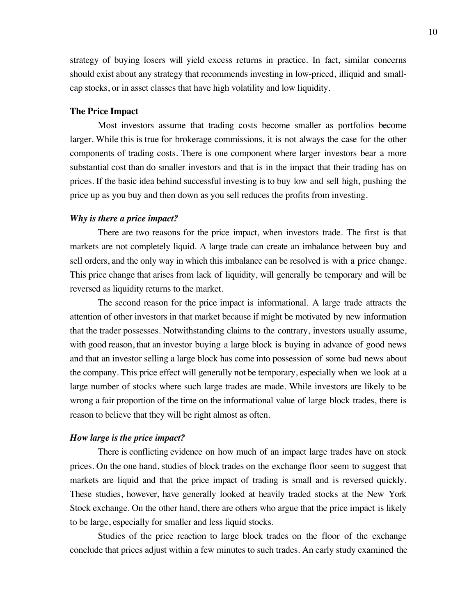strategy of buying losers will yield excess returns in practice. In fact, similar concerns should exist about any strategy that recommends investing in low-priced, illiquid and smallcap stocks, or in asset classes that have high volatility and low liquidity.

## **The Price Impact**

Most investors assume that trading costs become smaller as portfolios become larger. While this is true for brokerage commissions, it is not always the case for the other components of trading costs. There is one component where larger investors bear a more substantial cost than do smaller investors and that is in the impact that their trading has on prices. If the basic idea behind successful investing is to buy low and sell high, pushing the price up as you buy and then down as you sell reduces the profits from investing.

### *Why is there a price impact?*

There are two reasons for the price impact, when investors trade. The first is that markets are not completely liquid. A large trade can create an imbalance between buy and sell orders, and the only way in which this imbalance can be resolved is with a price change. This price change that arises from lack of liquidity, will generally be temporary and will be reversed as liquidity returns to the market.

The second reason for the price impact is informational. A large trade attracts the attention of other investors in that market because if might be motivated by new information that the trader possesses. Notwithstanding claims to the contrary, investors usually assume, with good reason, that an investor buying a large block is buying in advance of good news and that an investor selling a large block has come into possession of some bad news about the company. This price effect will generally not be temporary, especially when we look at a large number of stocks where such large trades are made. While investors are likely to be wrong a fair proportion of the time on the informational value of large block trades, there is reason to believe that they will be right almost as often.

#### *How large is the price impact?*

There is conflicting evidence on how much of an impact large trades have on stock prices. On the one hand, studies of block trades on the exchange floor seem to suggest that markets are liquid and that the price impact of trading is small and is reversed quickly. These studies, however, have generally looked at heavily traded stocks at the New York Stock exchange. On the other hand, there are others who argue that the price impact is likely to be large, especially for smaller and less liquid stocks.

Studies of the price reaction to large block trades on the floor of the exchange conclude that prices adjust within a few minutes to such trades. An early study examined the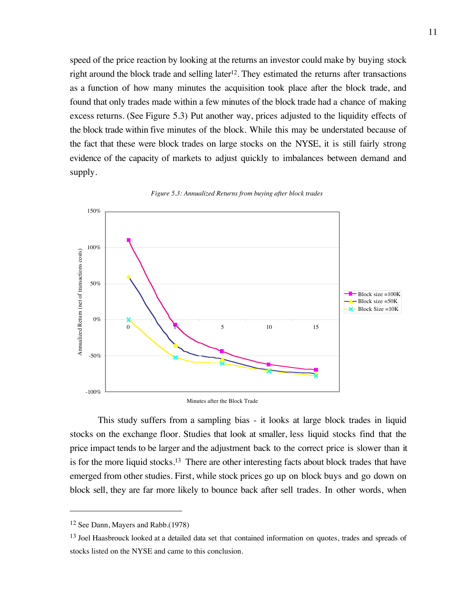speed of the price reaction by looking at the returns an investor could make by buying stock right around the block trade and selling later<sup>12</sup>. They estimated the returns after transactions as a function of how many minutes the acquisition took place after the block trade, and found that only trades made within a few minutes of the block trade had a chance of making excess returns. (See Figure 5.3) Put another way, prices adjusted to the liquidity effects of the block trade within five minutes of the block. While this may be understated because of the fact that these were block trades on large stocks on the NYSE, it is still fairly strong evidence of the capacity of markets to adjust quickly to imbalances between demand and supply.



*Figure 5.3: Annualized Returns from buying after block trades*

Minutes after the Block Trade

This study suffers from a sampling bias - it looks at large block trades in liquid stocks on the exchange floor. Studies that look at smaller, less liquid stocks find that the price impact tends to be larger and the adjustment back to the correct price is slower than it is for the more liquid stocks.<sup>13</sup> There are other interesting facts about block trades that have emerged from other studies. First, while stock prices go up on block buys and go down on block sell, they are far more likely to bounce back after sell trades. In other words, when

<sup>12</sup> See Dann, Mayers and Rabb.(1978)

<sup>&</sup>lt;sup>13</sup> Joel Haasbrouck looked at a detailed data set that contained information on quotes, trades and spreads of stocks listed on the NYSE and came to this conclusion.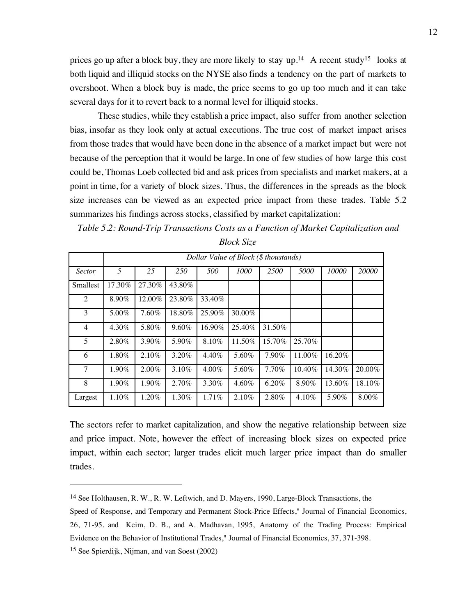prices go up after a block buy, they are more likely to stay up.<sup>14</sup> A recent study<sup>15</sup> looks at both liquid and illiquid stocks on the NYSE also finds a tendency on the part of markets to overshoot. When a block buy is made, the price seems to go up too much and it can take several days for it to revert back to a normal level for illiquid stocks.

These studies, while they establish a price impact, also suffer from another selection bias, insofar as they look only at actual executions. The true cost of market impact arises from those trades that would have been done in the absence of a market impact but were not because of the perception that it would be large. In one of few studies of how large this cost could be, Thomas Loeb collected bid and ask prices from specialists and market makers, at a point in time, for a variety of block sizes. Thus, the differences in the spreads as the block size increases can be viewed as an expected price impact from these trades. Table 5.2 summarizes his findings across stocks, classified by market capitalization:

|                |          | Dollar Value of Block (\$ thoustands) |          |          |           |          |             |         |        |
|----------------|----------|---------------------------------------|----------|----------|-----------|----------|-------------|---------|--------|
| <b>Sector</b>  | 5        | 25                                    | 250      | 500      | 1000      | 2500     | <i>5000</i> | 10000   | 20000  |
| Smallest       | 17.30%   | 27.30%                                | 43.80%   |          |           |          |             |         |        |
| $\mathfrak{2}$ | 8.90%    | 12.00%                                | 23.80%   | 33.40%   |           |          |             |         |        |
| 3              | $5.00\%$ | 7.60%                                 | 18.80%   | 25.90%   | $30.00\%$ |          |             |         |        |
| 4              | $4.30\%$ | 5.80%                                 | $9.60\%$ | 16.90%   | 25.40\%   | 31.50%   |             |         |        |
| 5              | 2.80%    | 3.90%                                 | 5.90%    | 8.10%    | 11.50%    | 15.70%   | 25.70%      |         |        |
| 6              | 1.80%    | 2.10%                                 | $3.20\%$ | 4.40%    | 5.60%     | $7.90\%$ | 11.00%      | 16.20\% |        |
| 7              | $1.90\%$ | $2.00\%$                              | 3.10%    | $4.00\%$ | 5.60%     | $7.70\%$ | $10.40\%$   | 14.30%  | 20.00% |
| 8              | $1.90\%$ | 1.90%                                 | 2.70%    | $3.30\%$ | 4.60%     | $6.20\%$ | $8.90\%$    | 13.60%  | 18.10% |
| Largest        | 1.10%    | 1.20%                                 | 1.30%    | 1.71%    | 2.10%     | 2.80%    | 4.10%       | 5.90%   | 8.00%  |

*Table 5.2: Round-Trip Transactions Costs as a Function of Market Capitalization and Block Size*

The sectors refer to market capitalization, and show the negative relationship between size and price impact. Note, however the effect of increasing block sizes on expected price impact, within each sector; larger trades elicit much larger price impact than do smaller trades.

<sup>14</sup> See Holthausen, R. W., R. W. Leftwich, and D. Mayers, 1990, Large-Block Transactions, the

Speed of Response, and Temporary and Permanent Stock-Price Effects," Journal of Financial Economics, 26, 71-95. and Keim, D. B., and A. Madhavan, 1995, Anatomy of the Trading Process: Empirical

Evidence on the Behavior of Institutional Trades," Journal of Financial Economics, 37, 371-398.

<sup>15</sup> See Spierdijk, Nijman, and van Soest (2002)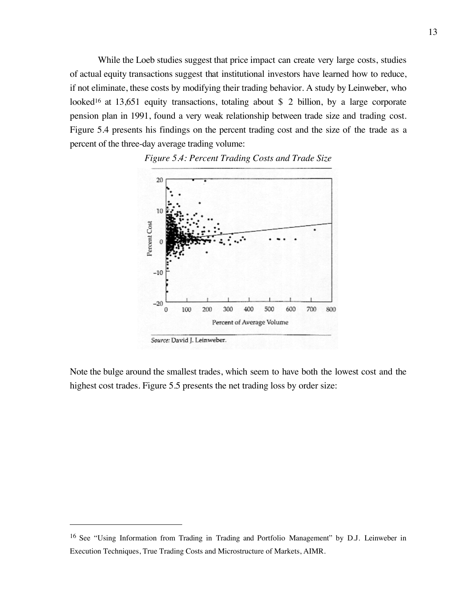While the Loeb studies suggest that price impact can create very large costs, studies of actual equity transactions suggest that institutional investors have learned how to reduce, if not eliminate, these costs by modifying their trading behavior. A study by Leinweber, who looked<sup>16</sup> at 13,651 equity transactions, totaling about \$ 2 billion, by a large corporate pension plan in 1991, found a very weak relationship between trade size and trading cost. Figure 5.4 presents his findings on the percent trading cost and the size of the trade as a percent of the three-day average trading volume:



 $-20$  $\theta$ 

100

Source: David J. Leinweber.

200

300

400

Percent of Average Volume

500

600

700

800



highest cost trades. Figure 5.5 presents the net trading loss by order size:

Note the bulge around the smallest trades, which seem to have both the lowest cost and the

<sup>&</sup>lt;sup>16</sup> See "Using Information from Trading in Trading and Portfolio Management" by D.J. Leinweber in Execution Techniques, True Trading Costs and Microstructure of Markets, AIMR.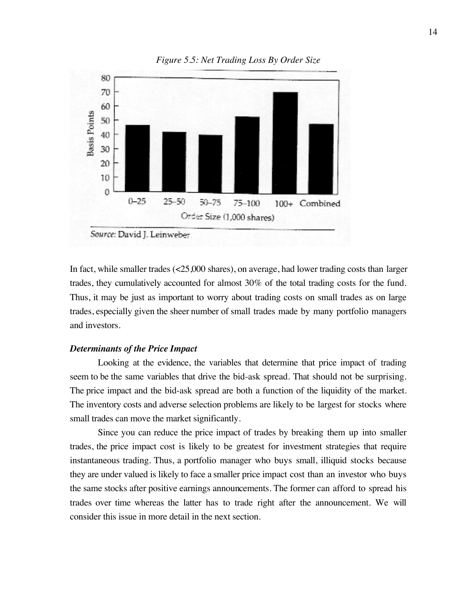

In fact, while smaller trades (<25,000 shares), on average, had lower trading costs than larger trades, they cumulatively accounted for almost 30% of the total trading costs for the fund. Thus, it may be just as important to worry about trading costs on small trades as on large trades, especially given the sheer number of small trades made by many portfolio managers and investors.

#### *Determinants of the Price Impact*

Looking at the evidence, the variables that determine that price impact of trading seem to be the same variables that drive the bid-ask spread. That should not be surprising. The price impact and the bid-ask spread are both a function of the liquidity of the market. The inventory costs and adverse selection problems are likely to be largest for stocks where small trades can move the market significantly.

Since you can reduce the price impact of trades by breaking them up into smaller trades, the price impact cost is likely to be greatest for investment strategies that require instantaneous trading. Thus, a portfolio manager who buys small, illiquid stocks because they are under valued is likely to face a smaller price impact cost than an investor who buys the same stocks after positive earnings announcements. The former can afford to spread his trades over time whereas the latter has to trade right after the announcement. We will consider this issue in more detail in the next section.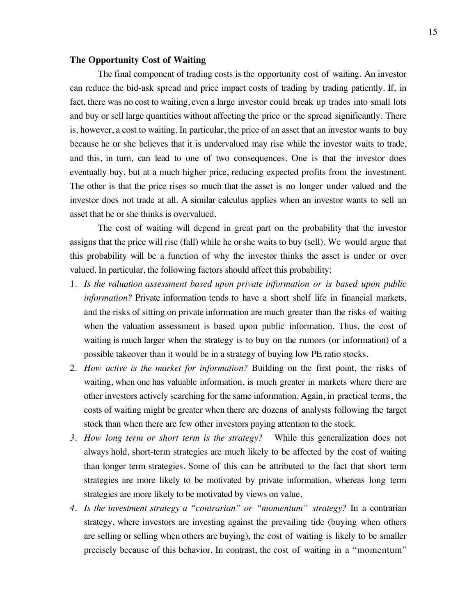## **The Opportunity Cost of Waiting**

The final component of trading costs is the opportunity cost of waiting. An investor can reduce the bid-ask spread and price impact costs of trading by trading patiently. If, in fact, there was no cost to waiting, even a large investor could break up trades into small lots and buy or sell large quantities without affecting the price or the spread significantly. There is, however, a cost to waiting. In particular, the price of an asset that an investor wants to buy because he or she believes that it is undervalued may rise while the investor waits to trade, and this, in turn, can lead to one of two consequences. One is that the investor does eventually buy, but at a much higher price, reducing expected profits from the investment. The other is that the price rises so much that the asset is no longer under valued and the investor does not trade at all. A similar calculus applies when an investor wants to sell an asset that he or she thinks is overvalued.

The cost of waiting will depend in great part on the probability that the investor assigns that the price will rise (fall) while he or she waits to buy (sell). We would argue that this probability will be a function of why the investor thinks the asset is under or over valued. In particular, the following factors should affect this probability:

- 1. *Is the valuation assessment based upon private information or is based upon public information?* Private information tends to have a short shelf life in financial markets, and the risks of sitting on private information are much greater than the risks of waiting when the valuation assessment is based upon public information. Thus, the cost of waiting is much larger when the strategy is to buy on the rumors (or information) of a possible takeover than it would be in a strategy of buying low PE ratio stocks.
- 2. *How active is the market for information?* Building on the first point, the risks of waiting, when one has valuable information, is much greater in markets where there are other investors actively searching for the same information. Again, in practical terms, the costs of waiting might be greater when there are dozens of analysts following the target stock than when there are few other investors paying attention to the stock.
- *3. How long term or short term is the strategy?* While this generalization does not always hold, short-term strategies are much likely to be affected by the cost of waiting than longer term strategies. Some of this can be attributed to the fact that short term strategies are more likely to be motivated by private information, whereas long term strategies are more likely to be motivated by views on value.
- *4. Is the investment strategy a "contrarian" or "momentum" strategy?* In a contrarian strategy, where investors are investing against the prevailing tide (buying when others are selling or selling when others are buying), the cost of waiting is likely to be smaller precisely because of this behavior. In contrast, the cost of waiting in a "momentum"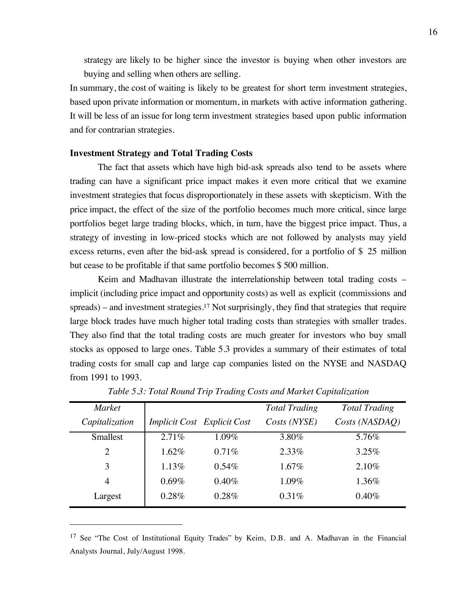strategy are likely to be higher since the investor is buying when other investors are buying and selling when others are selling.

In summary, the cost of waiting is likely to be greatest for short term investment strategies, based upon private information or momentum, in markets with active information gathering. It will be less of an issue for long term investment strategies based upon public information and for contrarian strategies.

## **Investment Strategy and Total Trading Costs**

 $\overline{a}$ 

The fact that assets which have high bid-ask spreads also tend to be assets where trading can have a significant price impact makes it even more critical that we examine investment strategies that focus disproportionately in these assets with skepticism. With the price impact, the effect of the size of the portfolio becomes much more critical, since large portfolios beget large trading blocks, which, in turn, have the biggest price impact. Thus, a strategy of investing in low-priced stocks which are not followed by analysts may yield excess returns, even after the bid-ask spread is considered, for a portfolio of \$ 25 million but cease to be profitable if that same portfolio becomes \$ 500 million.

Keim and Madhavan illustrate the interrelationship between total trading costs – implicit (including price impact and opportunity costs) as well as explicit (commissions and spreads) – and investment strategies.<sup>17</sup> Not surprisingly, they find that strategies that require large block trades have much higher total trading costs than strategies with smaller trades. They also find that the total trading costs are much greater for investors who buy small stocks as opposed to large ones. Table 5.3 provides a summary of their estimates of total trading costs for small cap and large cap companies listed on the NYSE and NASDAQ from 1991 to 1993.

| <b>Market</b>   |                                    |          | <b>Total Trading</b> | <b>Total Trading</b> |
|-----------------|------------------------------------|----------|----------------------|----------------------|
| Capitalization  | <b>Implicit Cost</b> Explicit Cost |          | Costs (NYSE)         | Costs (NASDAQ)       |
| <b>Smallest</b> | $2.71\%$                           | $1.09\%$ | 3.80%                | 5.76%                |
| 2               | $1.62\%$                           | $0.71\%$ | 2.33%                | $3.25\%$             |
| 3               | $1.13\%$                           | $0.54\%$ | $1.67\%$             | $2.10\%$             |
| 4               | $0.69\%$                           | $0.40\%$ | 1.09%                | 1.36%                |
| Largest         | 0.28%                              | $0.28\%$ | $0.31\%$             | $0.40\%$             |

*Table 5.3: Total Round Trip Trading Costs and Market Capitalization*

<sup>17</sup> See "The Cost of Institutional Equity Trades" by Keim, D.B. and A. Madhavan in the Financial Analysts Journal, July/August 1998.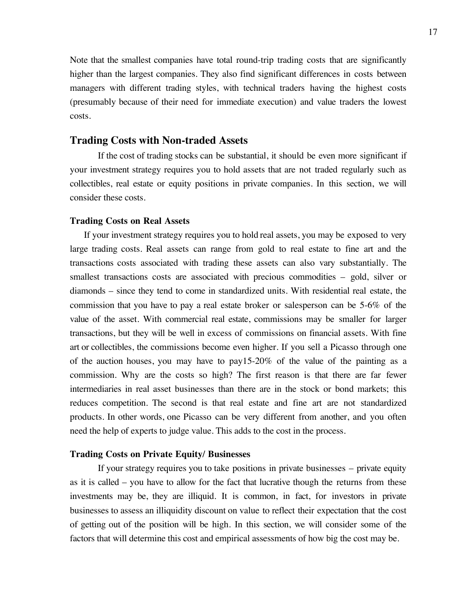Note that the smallest companies have total round-trip trading costs that are significantly higher than the largest companies. They also find significant differences in costs between managers with different trading styles, with technical traders having the highest costs (presumably because of their need for immediate execution) and value traders the lowest costs.

# **Trading Costs with Non-traded Assets**

If the cost of trading stocks can be substantial, it should be even more significant if your investment strategy requires you to hold assets that are not traded regularly such as collectibles, real estate or equity positions in private companies. In this section, we will consider these costs.

#### **Trading Costs on Real Assets**

If your investment strategy requires you to hold real assets, you may be exposed to very large trading costs. Real assets can range from gold to real estate to fine art and the transactions costs associated with trading these assets can also vary substantially. The smallest transactions costs are associated with precious commodities – gold, silver or diamonds – since they tend to come in standardized units. With residential real estate, the commission that you have to pay a real estate broker or salesperson can be 5-6% of the value of the asset. With commercial real estate, commissions may be smaller for larger transactions, but they will be well in excess of commissions on financial assets. With fine art or collectibles, the commissions become even higher. If you sell a Picasso through one of the auction houses, you may have to pay  $15{\cdot}20\%$  of the value of the painting as a commission. Why are the costs so high? The first reason is that there are far fewer intermediaries in real asset businesses than there are in the stock or bond markets; this reduces competition. The second is that real estate and fine art are not standardized products. In other words, one Picasso can be very different from another, and you often need the help of experts to judge value. This adds to the cost in the process.

## **Trading Costs on Private Equity/ Businesses**

If your strategy requires you to take positions in private businesses – private equity as it is called – you have to allow for the fact that lucrative though the returns from these investments may be, they are illiquid. It is common, in fact, for investors in private businesses to assess an illiquidity discount on value to reflect their expectation that the cost of getting out of the position will be high. In this section, we will consider some of the factors that will determine this cost and empirical assessments of how big the cost may be.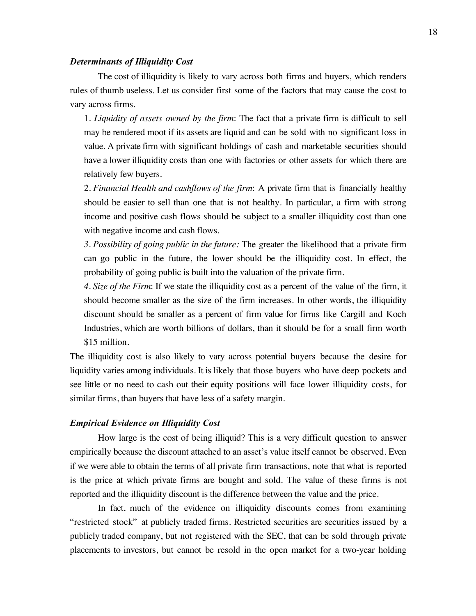### *Determinants of Illiquidity Cost*

The cost of illiquidity is likely to vary across both firms and buyers, which renders rules of thumb useless. Let us consider first some of the factors that may cause the cost to vary across firms.

1. *Liquidity of assets owned by the firm*: The fact that a private firm is difficult to sell may be rendered moot if its assets are liquid and can be sold with no significant loss in value. A private firm with significant holdings of cash and marketable securities should have a lower illiquidity costs than one with factories or other assets for which there are relatively few buyers.

2. *Financial Health and cashflows of the firm*: A private firm that is financially healthy should be easier to sell than one that is not healthy. In particular, a firm with strong income and positive cash flows should be subject to a smaller illiquidity cost than one with negative income and cash flows.

*3. Possibility of going public in the future:* The greater the likelihood that a private firm can go public in the future, the lower should be the illiquidity cost. In effect, the probability of going public is built into the valuation of the private firm.

*4. Size of the Firm*: If we state the illiquidity cost as a percent of the value of the firm, it should become smaller as the size of the firm increases. In other words, the illiquidity discount should be smaller as a percent of firm value for firms like Cargill and Koch Industries, which are worth billions of dollars, than it should be for a small firm worth \$15 million.

The illiquidity cost is also likely to vary across potential buyers because the desire for liquidity varies among individuals. It is likely that those buyers who have deep pockets and see little or no need to cash out their equity positions will face lower illiquidity costs, for similar firms, than buyers that have less of a safety margin.

## *Empirical Evidence on Illiquidity Cost*

How large is the cost of being illiquid? This is a very difficult question to answer empirically because the discount attached to an asset's value itself cannot be observed. Even if we were able to obtain the terms of all private firm transactions, note that what is reported is the price at which private firms are bought and sold. The value of these firms is not reported and the illiquidity discount is the difference between the value and the price.

In fact, much of the evidence on illiquidity discounts comes from examining "restricted stock" at publicly traded firms. Restricted securities are securities issued by a publicly traded company, but not registered with the SEC, that can be sold through private placements to investors, but cannot be resold in the open market for a two-year holding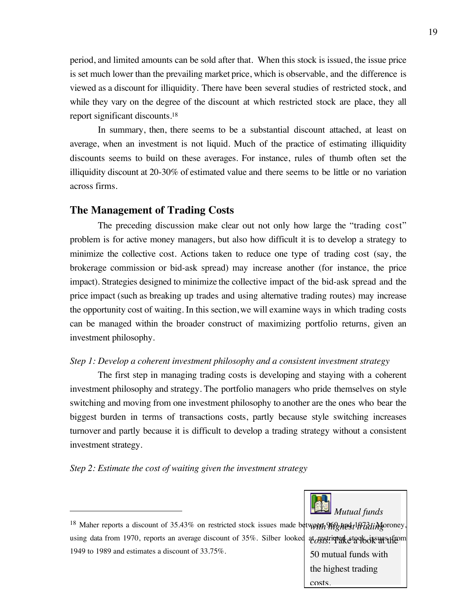period, and limited amounts can be sold after that. When this stock is issued, the issue price is set much lower than the prevailing market price, which is observable, and the difference is viewed as a discount for illiquidity. There have been several studies of restricted stock, and while they vary on the degree of the discount at which restricted stock are place, they all report significant discounts.18

In summary, then, there seems to be a substantial discount attached, at least on average, when an investment is not liquid. Much of the practice of estimating illiquidity discounts seems to build on these averages. For instance, rules of thumb often set the illiquidity discount at 20-30% of estimated value and there seems to be little or no variation across firms.

# **The Management of Trading Costs**

The preceding discussion make clear out not only how large the "trading cost" problem is for active money managers, but also how difficult it is to develop a strategy to minimize the collective cost. Actions taken to reduce one type of trading cost (say, the brokerage commission or bid-ask spread) may increase another (for instance, the price impact). Strategies designed to minimize the collective impact of the bid-ask spread and the price impact (such as breaking up trades and using alternative trading routes) may increase the opportunity cost of waiting. In this section, we will examine ways in which trading costs can be managed within the broader construct of maximizing portfolio returns, given an investment philosophy.

#### *Step 1: Develop a coherent investment philosophy and a consistent investment strategy*

The first step in managing trading costs is developing and staying with a coherent investment philosophy and strategy. The portfolio managers who pride themselves on style switching and moving from one investment philosophy to another are the ones who bear the biggest burden in terms of transactions costs, partly because style switching increases turnover and partly because it is difficult to develop a trading strategy without a consistent investment strategy.

*Step 2: Estimate the cost of waiting given the investment strategy*



<sup>18</sup> Maher reports a discount of 35.43% on restricted stock issues made between *Mighedt Fradithgoroney*, using data from 1970, reports an average discount of 35%. Silber looked 1949 to 1989 and estimates a discount of 33.75%.

 $\overline{a}$ 

at restricted stock assumes them 50 mutual funds with the highest trading costs.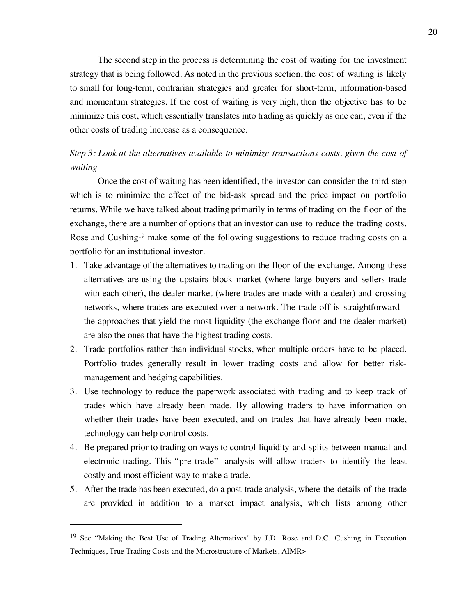The second step in the process is determining the cost of waiting for the investment strategy that is being followed. As noted in the previous section, the cost of waiting is likely to small for long-term, contrarian strategies and greater for short-term, information-based and momentum strategies. If the cost of waiting is very high, then the objective has to be minimize this cost, which essentially translates into trading as quickly as one can, even if the other costs of trading increase as a consequence.

# *Step 3: Look at the alternatives available to minimize transactions costs, given the cost of waiting*

Once the cost of waiting has been identified, the investor can consider the third step which is to minimize the effect of the bid-ask spread and the price impact on portfolio returns. While we have talked about trading primarily in terms of trading on the floor of the exchange, there are a number of options that an investor can use to reduce the trading costs. Rose and Cushing19 make some of the following suggestions to reduce trading costs on a portfolio for an institutional investor.

- 1. Take advantage of the alternatives to trading on the floor of the exchange. Among these alternatives are using the upstairs block market (where large buyers and sellers trade with each other), the dealer market (where trades are made with a dealer) and crossing networks, where trades are executed over a network. The trade off is straightforward the approaches that yield the most liquidity (the exchange floor and the dealer market) are also the ones that have the highest trading costs.
- 2. Trade portfolios rather than individual stocks, when multiple orders have to be placed. Portfolio trades generally result in lower trading costs and allow for better riskmanagement and hedging capabilities.
- 3. Use technology to reduce the paperwork associated with trading and to keep track of trades which have already been made. By allowing traders to have information on whether their trades have been executed, and on trades that have already been made, technology can help control costs.
- 4. Be prepared prior to trading on ways to control liquidity and splits between manual and electronic trading. This "pre-trade" analysis will allow traders to identify the least costly and most efficient way to make a trade.
- 5. After the trade has been executed, do a post-trade analysis, where the details of the trade are provided in addition to a market impact analysis, which lists among other

<sup>&</sup>lt;sup>19</sup> See "Making the Best Use of Trading Alternatives" by J.D. Rose and D.C. Cushing in Execution Techniques, True Trading Costs and the Microstructure of Markets, AIMR>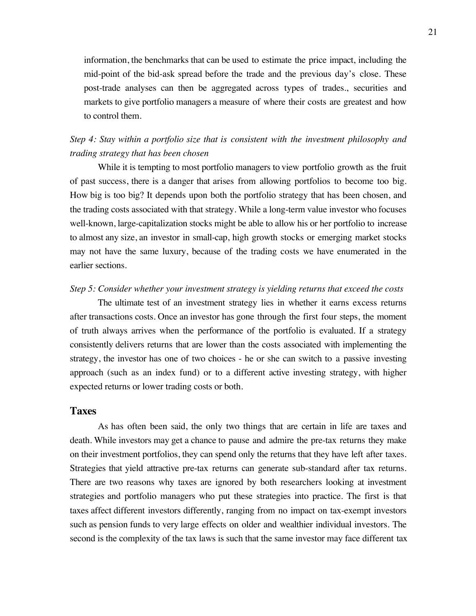information, the benchmarks that can be used to estimate the price impact, including the mid-point of the bid-ask spread before the trade and the previous day's close. These post-trade analyses can then be aggregated across types of trades., securities and markets to give portfolio managers a measure of where their costs are greatest and how to control them.

# *Step 4: Stay within a portfolio size that is consistent with the investment philosophy and trading strategy that has been chosen*

While it is tempting to most portfolio managers to view portfolio growth as the fruit of past success, there is a danger that arises from allowing portfolios to become too big. How big is too big? It depends upon both the portfolio strategy that has been chosen, and the trading costs associated with that strategy. While a long-term value investor who focuses well-known, large-capitalization stocks might be able to allow his or her portfolio to increase to almost any size, an investor in small-cap, high growth stocks or emerging market stocks may not have the same luxury, because of the trading costs we have enumerated in the earlier sections.

#### *Step 5: Consider whether your investment strategy is yielding returns that exceed the costs*

The ultimate test of an investment strategy lies in whether it earns excess returns after transactions costs. Once an investor has gone through the first four steps, the moment of truth always arrives when the performance of the portfolio is evaluated. If a strategy consistently delivers returns that are lower than the costs associated with implementing the strategy, the investor has one of two choices - he or she can switch to a passive investing approach (such as an index fund) or to a different active investing strategy, with higher expected returns or lower trading costs or both.

## **Taxes**

As has often been said, the only two things that are certain in life are taxes and death. While investors may get a chance to pause and admire the pre-tax returns they make on their investment portfolios, they can spend only the returns that they have left after taxes. Strategies that yield attractive pre-tax returns can generate sub-standard after tax returns. There are two reasons why taxes are ignored by both researchers looking at investment strategies and portfolio managers who put these strategies into practice. The first is that taxes affect different investors differently, ranging from no impact on tax-exempt investors such as pension funds to very large effects on older and wealthier individual investors. The second is the complexity of the tax laws is such that the same investor may face different tax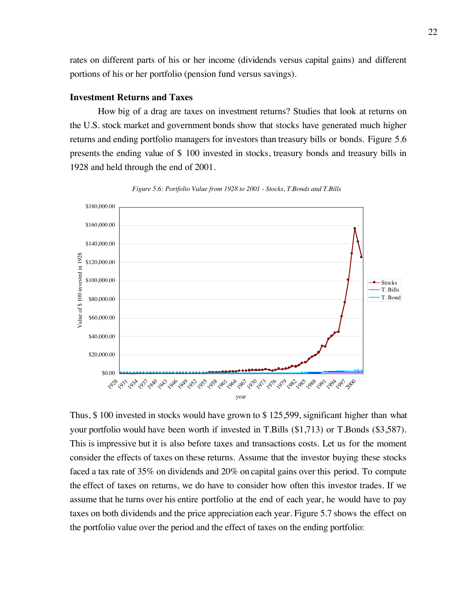rates on different parts of his or her income (dividends versus capital gains) and different portions of his or her portfolio (pension fund versus savings).

## **Investment Returns and Taxes**

How big of a drag are taxes on investment returns? Studies that look at returns on the U.S. stock market and government bonds show that stocks have generated much higher returns and ending portfolio managers for investors than treasury bills or bonds. Figure 5.6 presents the ending value of \$ 100 invested in stocks, treasury bonds and treasury bills in 1928 and held through the end of 2001.



*Figure 5.6: Portfolio Value from 1928 to 2001 - Stocks, T.Bonds and T.Bills*

Thus, \$ 100 invested in stocks would have grown to \$ 125,599, significant higher than what your portfolio would have been worth if invested in T.Bills (\$1,713) or T.Bonds (\$3,587). This is impressive but it is also before taxes and transactions costs. Let us for the moment consider the effects of taxes on these returns. Assume that the investor buying these stocks faced a tax rate of 35% on dividends and 20% on capital gains over this period. To compute the effect of taxes on returns, we do have to consider how often this investor trades. If we assume that he turns over his entire portfolio at the end of each year, he would have to pay taxes on both dividends and the price appreciation each year. Figure 5.7 shows the effect on the portfolio value over the period and the effect of taxes on the ending portfolio: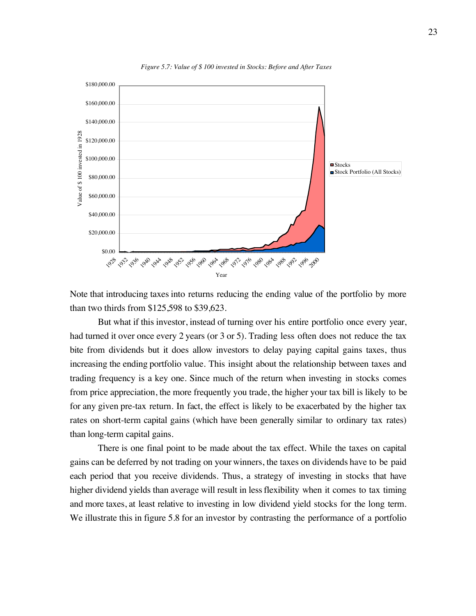

*Figure 5.7: Value of \$ 100 invested in Stocks: Before and After Taxes*

Note that introducing taxes into returns reducing the ending value of the portfolio by more than two thirds from \$125,598 to \$39,623.

But what if this investor, instead of turning over his entire portfolio once every year, had turned it over once every 2 years (or 3 or 5). Trading less often does not reduce the tax bite from dividends but it does allow investors to delay paying capital gains taxes, thus increasing the ending portfolio value. This insight about the relationship between taxes and trading frequency is a key one. Since much of the return when investing in stocks comes from price appreciation, the more frequently you trade, the higher your tax bill is likely to be for any given pre-tax return. In fact, the effect is likely to be exacerbated by the higher tax rates on short-term capital gains (which have been generally similar to ordinary tax rates) than long-term capital gains.

There is one final point to be made about the tax effect. While the taxes on capital gains can be deferred by not trading on your winners, the taxes on dividends have to be paid each period that you receive dividends. Thus, a strategy of investing in stocks that have higher dividend yields than average will result in less flexibility when it comes to tax timing and more taxes, at least relative to investing in low dividend yield stocks for the long term. We illustrate this in figure 5.8 for an investor by contrasting the performance of a portfolio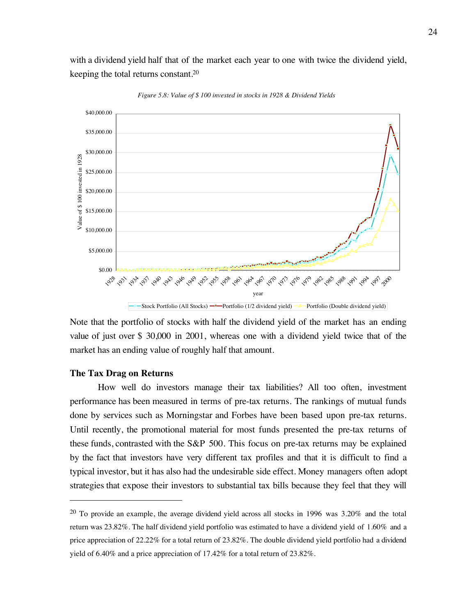with a dividend yield half that of the market each year to one with twice the dividend yield, keeping the total returns constant.20



*Figure 5.8: Value of \$ 100 invested in stocks in 1928 & Dividend Yields*

Note that the portfolio of stocks with half the dividend yield of the market has an ending value of just over \$ 30,000 in 2001, whereas one with a dividend yield twice that of the market has an ending value of roughly half that amount.

#### **The Tax Drag on Returns**

 $\overline{a}$ 

How well do investors manage their tax liabilities? All too often, investment performance has been measured in terms of pre-tax returns. The rankings of mutual funds done by services such as Morningstar and Forbes have been based upon pre-tax returns. Until recently, the promotional material for most funds presented the pre-tax returns of these funds, contrasted with the S&P 500. This focus on pre-tax returns may be explained by the fact that investors have very different tax profiles and that it is difficult to find a typical investor, but it has also had the undesirable side effect. Money managers often adopt strategies that expose their investors to substantial tax bills because they feel that they will

 $20$  To provide an example, the average dividend yield across all stocks in 1996 was  $3.20\%$  and the total return was 23.82%. The half dividend yield portfolio was estimated to have a dividend yield of 1.60% and a price appreciation of 22.22% for a total return of 23.82%. The double dividend yield portfolio had a dividend yield of 6.40% and a price appreciation of 17.42% for a total return of 23.82%.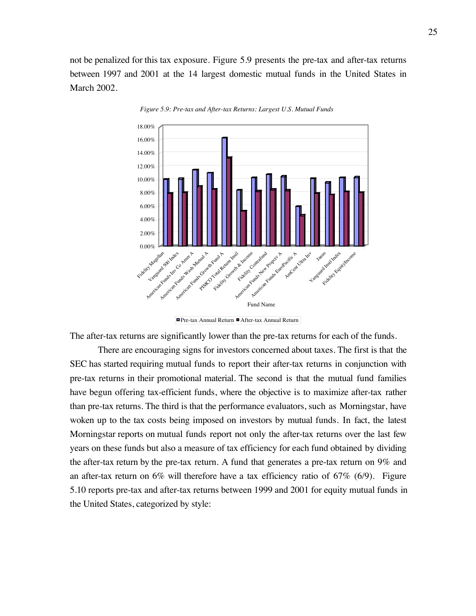not be penalized for this tax exposure. Figure 5.9 presents the pre-tax and after-tax returns between 1997 and 2001 at the 14 largest domestic mutual funds in the United States in March 2002.





The after-tax returns are significantly lower than the pre-tax returns for each of the funds.

There are encouraging signs for investors concerned about taxes. The first is that the SEC has started requiring mutual funds to report their after-tax returns in conjunction with pre-tax returns in their promotional material. The second is that the mutual fund families have begun offering tax-efficient funds, where the objective is to maximize after-tax rather than pre-tax returns. The third is that the performance evaluators, such as Morningstar, have woken up to the tax costs being imposed on investors by mutual funds. In fact, the latest Morningstar reports on mutual funds report not only the after-tax returns over the last few years on these funds but also a measure of tax efficiency for each fund obtained by dividing the after-tax return by the pre-tax return. A fund that generates a pre-tax return on 9% and an after-tax return on  $6\%$  will therefore have a tax efficiency ratio of  $67\%$  (6/9). Figure 5.10 reports pre-tax and after-tax returns between 1999 and 2001 for equity mutual funds in the United States, categorized by style:

<sup>■</sup> Pre-tax Annual Return ■ After-tax Annual Return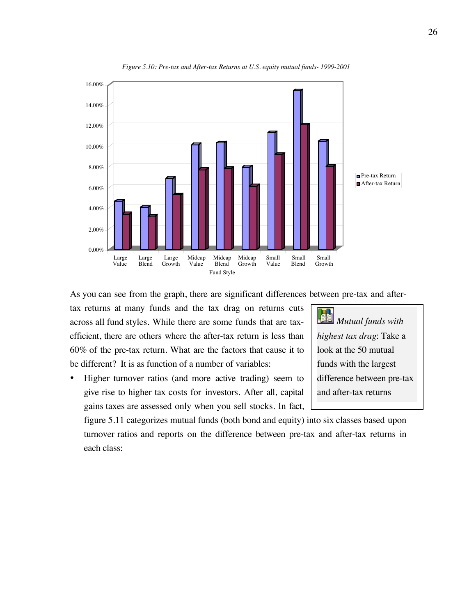

*Figure 5.10: Pre-tax and After-tax Returns at U.S. equity mutual funds- 1999-2001*

As you can see from the graph, there are significant differences between pre-tax and after-

tax returns at many funds and the tax drag on returns cuts across all fund styles. While there are some funds that are taxefficient, there are others where the after-tax return is less than 60% of the pre-tax return. What are the factors that cause it to be different? It is as function of a number of variables:

• Higher turnover ratios (and more active trading) seem to give rise to higher tax costs for investors. After all, capital gains taxes are assessed only when you sell stocks. In fact, *Mutual funds with highest tax drag*: Take a look at the 50 mutual funds with the largest difference between pre-tax and after-tax returns

figure 5.11 categorizes mutual funds (both bond and equity) into six classes based upon turnover ratios and reports on the difference between pre-tax and after-tax returns in each class: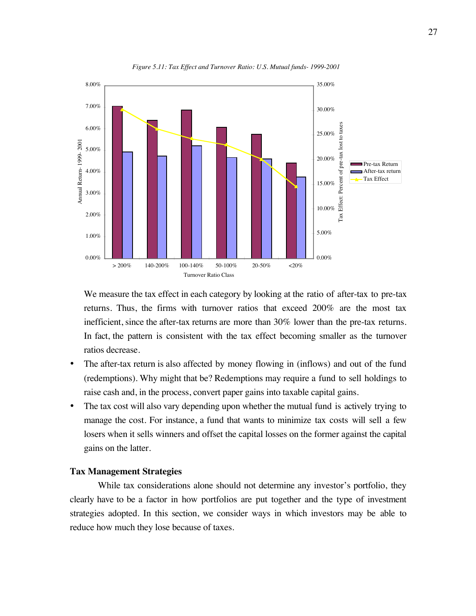

*Figure 5.11: Tax Effect and Turnover Ratio: U.S. Mutual funds- 1999-2001*

We measure the tax effect in each category by looking at the ratio of after-tax to pre-tax returns. Thus, the firms with turnover ratios that exceed 200% are the most tax inefficient, since the after-tax returns are more than 30% lower than the pre-tax returns. In fact, the pattern is consistent with the tax effect becoming smaller as the turnover ratios decrease.

- The after-tax return is also affected by money flowing in (inflows) and out of the fund (redemptions). Why might that be? Redemptions may require a fund to sell holdings to raise cash and, in the process, convert paper gains into taxable capital gains.
- The tax cost will also vary depending upon whether the mutual fund is actively trying to manage the cost. For instance, a fund that wants to minimize tax costs will sell a few losers when it sells winners and offset the capital losses on the former against the capital gains on the latter.

#### **Tax Management Strategies**

While tax considerations alone should not determine any investor's portfolio, they clearly have to be a factor in how portfolios are put together and the type of investment strategies adopted. In this section, we consider ways in which investors may be able to reduce how much they lose because of taxes.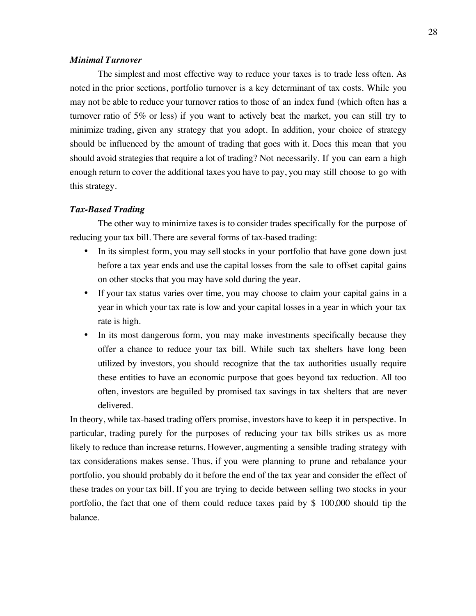## *Minimal Turnover*

The simplest and most effective way to reduce your taxes is to trade less often. As noted in the prior sections, portfolio turnover is a key determinant of tax costs. While you may not be able to reduce your turnover ratios to those of an index fund (which often has a turnover ratio of 5% or less) if you want to actively beat the market, you can still try to minimize trading, given any strategy that you adopt. In addition, your choice of strategy should be influenced by the amount of trading that goes with it. Does this mean that you should avoid strategies that require a lot of trading? Not necessarily. If you can earn a high enough return to cover the additional taxes you have to pay, you may still choose to go with this strategy.

#### *Tax-Based Trading*

The other way to minimize taxes is to consider trades specifically for the purpose of reducing your tax bill. There are several forms of tax-based trading:

- In its simplest form, you may sell stocks in your portfolio that have gone down just before a tax year ends and use the capital losses from the sale to offset capital gains on other stocks that you may have sold during the year.
- If your tax status varies over time, you may choose to claim your capital gains in a year in which your tax rate is low and your capital losses in a year in which your tax rate is high.
- In its most dangerous form, you may make investments specifically because they offer a chance to reduce your tax bill. While such tax shelters have long been utilized by investors, you should recognize that the tax authorities usually require these entities to have an economic purpose that goes beyond tax reduction. All too often, investors are beguiled by promised tax savings in tax shelters that are never delivered.

In theory, while tax-based trading offers promise, investors have to keep it in perspective. In particular, trading purely for the purposes of reducing your tax bills strikes us as more likely to reduce than increase returns. However, augmenting a sensible trading strategy with tax considerations makes sense. Thus, if you were planning to prune and rebalance your portfolio, you should probably do it before the end of the tax year and consider the effect of these trades on your tax bill. If you are trying to decide between selling two stocks in your portfolio, the fact that one of them could reduce taxes paid by \$ 100,000 should tip the balance.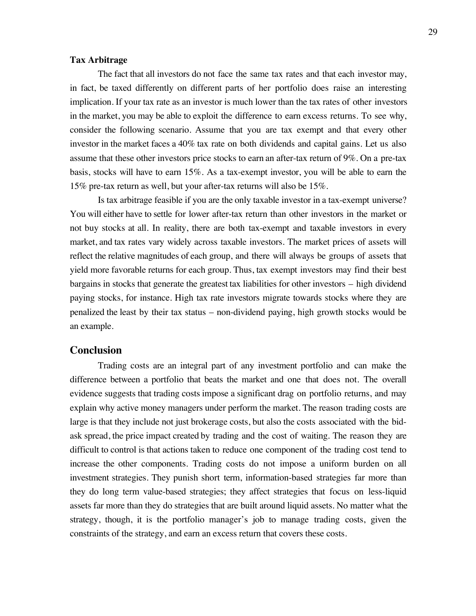## **Tax Arbitrage**

The fact that all investors do not face the same tax rates and that each investor may, in fact, be taxed differently on different parts of her portfolio does raise an interesting implication. If your tax rate as an investor is much lower than the tax rates of other investors in the market, you may be able to exploit the difference to earn excess returns. To see why, consider the following scenario. Assume that you are tax exempt and that every other investor in the market faces a 40% tax rate on both dividends and capital gains. Let us also assume that these other investors price stocks to earn an after-tax return of 9%. On a pre-tax basis, stocks will have to earn 15%. As a tax-exempt investor, you will be able to earn the 15% pre-tax return as well, but your after-tax returns will also be 15%.

Is tax arbitrage feasible if you are the only taxable investor in a tax-exempt universe? You will either have to settle for lower after-tax return than other investors in the market or not buy stocks at all. In reality, there are both tax-exempt and taxable investors in every market, and tax rates vary widely across taxable investors. The market prices of assets will reflect the relative magnitudes of each group, and there will always be groups of assets that yield more favorable returns for each group. Thus, tax exempt investors may find their best bargains in stocks that generate the greatest tax liabilities for other investors – high dividend paying stocks, for instance. High tax rate investors migrate towards stocks where they are penalized the least by their tax status – non-dividend paying, high growth stocks would be an example.

# **Conclusion**

Trading costs are an integral part of any investment portfolio and can make the difference between a portfolio that beats the market and one that does not. The overall evidence suggests that trading costs impose a significant drag on portfolio returns, and may explain why active money managers under perform the market. The reason trading costs are large is that they include not just brokerage costs, but also the costs associated with the bidask spread, the price impact created by trading and the cost of waiting. The reason they are difficult to control is that actions taken to reduce one component of the trading cost tend to increase the other components. Trading costs do not impose a uniform burden on all investment strategies. They punish short term, information-based strategies far more than they do long term value-based strategies; they affect strategies that focus on less-liquid assets far more than they do strategies that are built around liquid assets. No matter what the strategy, though, it is the portfolio manager's job to manage trading costs, given the constraints of the strategy, and earn an excess return that covers these costs.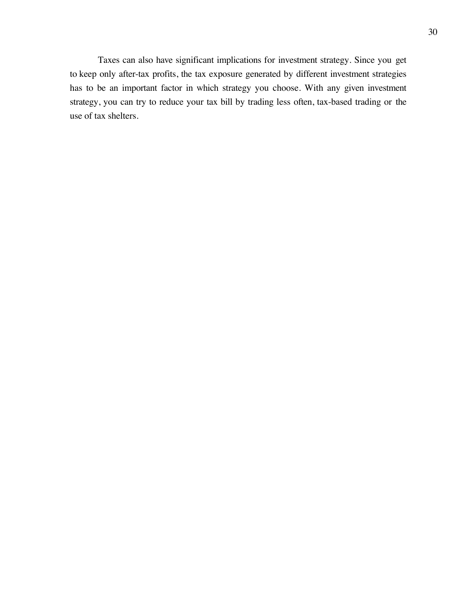Taxes can also have significant implications for investment strategy. Since you get to keep only after-tax profits, the tax exposure generated by different investment strategies has to be an important factor in which strategy you choose. With any given investment strategy, you can try to reduce your tax bill by trading less often, tax-based trading or the use of tax shelters.